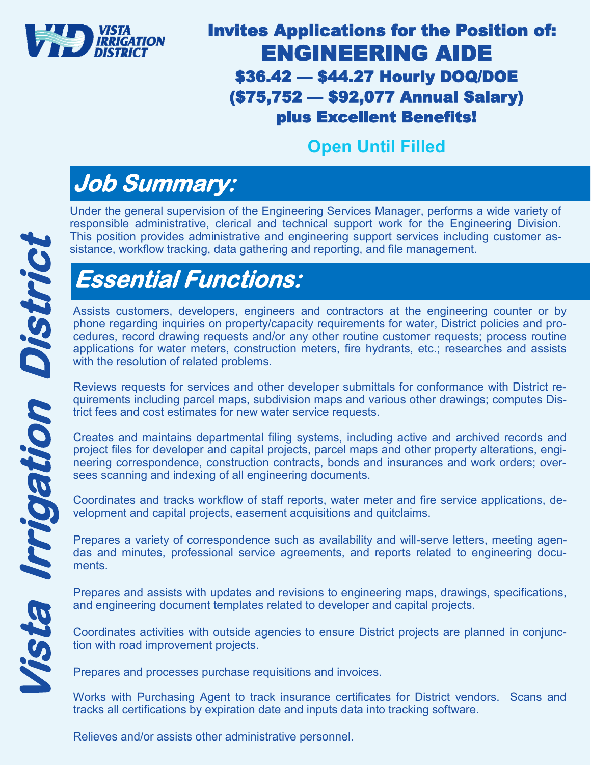

#### Invites Applications for the Position of: ENGINEERING AIDE \$36.42 — \$44.27 Hourly DOQ/DOE (\$75,752 — \$92,077 Annual Salary) plus Excellent Benefits!

#### **Open Until Filled**

## **Job Summary:**

Under the general supervision of the Engineering Services Manager, performs a wide variety of responsible administrative, clerical and technical support work for the Engineering Division. This position provides administrative and engineering support services including customer assistance, workflow tracking, data gathering and reporting, and file management.

# **Essential Functions:**

Assists customers, developers, engineers and contractors at the engineering counter or by phone regarding inquiries on property/capacity requirements for water, District policies and procedures, record drawing requests and/or any other routine customer requests; process routine applications for water meters, construction meters, fire hydrants, etc.; researches and assists with the resolution of related problems.

Reviews requests for services and other developer submittals for conformance with District requirements including parcel maps, subdivision maps and various other drawings; computes District fees and cost estimates for new water service requests.

Creates and maintains departmental filing systems, including active and archived records and project files for developer and capital projects, parcel maps and other property alterations, engineering correspondence, construction contracts, bonds and insurances and work orders; oversees scanning and indexing of all engineering documents.

Coordinates and tracks workflow of staff reports, water meter and fire service applications, development and capital projects, easement acquisitions and quitclaims.

Prepares a variety of correspondence such as availability and will-serve letters, meeting agendas and minutes, professional service agreements, and reports related to engineering documents.

Prepares and assists with updates and revisions to engineering maps, drawings, specifications, and engineering document templates related to developer and capital projects.

Coordinates activities with outside agencies to ensure District projects are planned in conjunction with road improvement projects.

Prepares and processes purchase requisitions and invoices.

Works with Purchasing Agent to track insurance certificates for District vendors. Scans and tracks all certifications by expiration date and inputs data into tracking software.

Relieves and/or assists other administrative personnel.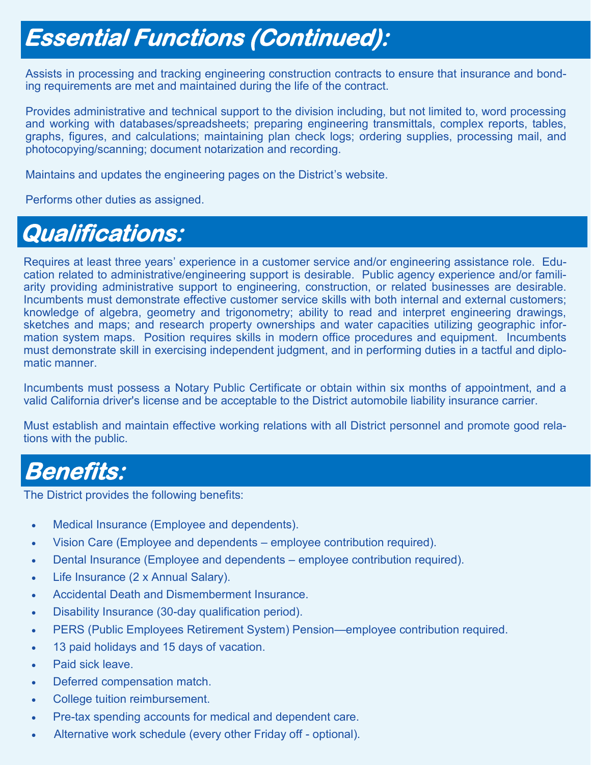## **Essential Functions (Continued):**

Assists in processing and tracking engineering construction contracts to ensure that insurance and bonding requirements are met and maintained during the life of the contract.

Provides administrative and technical support to the division including, but not limited to, word processing and working with databases/spreadsheets; preparing engineering transmittals, complex reports, tables, graphs, figures, and calculations; maintaining plan check logs; ordering supplies, processing mail, and photocopying/scanning; document notarization and recording.

Maintains and updates the engineering pages on the District's website.

Performs other duties as assigned.

### **Qualifications:**

Requires at least three years' experience in a customer service and/or engineering assistance role. Education related to administrative/engineering support is desirable. Public agency experience and/or familiarity providing administrative support to engineering, construction, or related businesses are desirable. Incumbents must demonstrate effective customer service skills with both internal and external customers; knowledge of algebra, geometry and trigonometry; ability to read and interpret engineering drawings, sketches and maps; and research property ownerships and water capacities utilizing geographic information system maps. Position requires skills in modern office procedures and equipment. Incumbents must demonstrate skill in exercising independent judgment, and in performing duties in a tactful and diplomatic manner.

Incumbents must possess a Notary Public Certificate or obtain within six months of appointment, and a valid California driver's license and be acceptable to the District automobile liability insurance carrier.

Must establish and maintain effective working relations with all District personnel and promote good relations with the public.

### **Benefits:**

The District provides the following benefits:

- Medical Insurance (Employee and dependents).
- Vision Care (Employee and dependents employee contribution required).
- Dental Insurance (Employee and dependents employee contribution required).
- Life Insurance (2 x Annual Salary).
- Accidental Death and Dismemberment Insurance.
- Disability Insurance (30-day qualification period).
- PERS (Public Employees Retirement System) Pension—employee contribution required.
- 13 paid holidays and 15 days of vacation.
- Paid sick leave.
- Deferred compensation match.
- College tuition reimbursement.
- Pre-tax spending accounts for medical and dependent care.
- Alternative work schedule (every other Friday off optional).